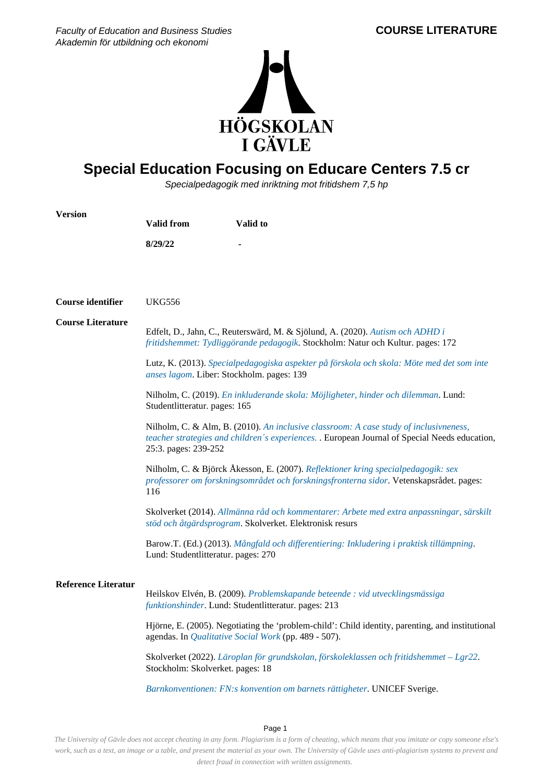Faculty of Education and Business Studies Akademin för utbildning och ekonomi



## **Special Education Focusing on Educare Centers 7.5 cr**

Specialpedagogik med inriktning mot fritidshem 7,5 hp

| <b>Version</b>             | <b>Valid from</b>                                                                                                                                                                                                                                             | Valid to                                                                                                                                                                     |
|----------------------------|---------------------------------------------------------------------------------------------------------------------------------------------------------------------------------------------------------------------------------------------------------------|------------------------------------------------------------------------------------------------------------------------------------------------------------------------------|
|                            | 8/29/22                                                                                                                                                                                                                                                       |                                                                                                                                                                              |
|                            |                                                                                                                                                                                                                                                               |                                                                                                                                                                              |
|                            |                                                                                                                                                                                                                                                               |                                                                                                                                                                              |
| Course identifier          | <b>UKG556</b>                                                                                                                                                                                                                                                 |                                                                                                                                                                              |
| <b>Course Literature</b>   | Edfelt, D., Jahn, C., Reuterswärd, M. & Sjölund, A. (2020). Autism och ADHD i<br>fritidshemmet: Tydliggörande pedagogik. Stockholm: Natur och Kultur. pages: 172                                                                                              |                                                                                                                                                                              |
|                            | Lutz, K. (2013). Specialpedagogiska aspekter på förskola och skola: Möte med det som inte<br>anses lagom. Liber: Stockholm. pages: 139<br>Nilholm, C. (2019). En inkluderande skola: Möjligheter, hinder och dilemman. Lund:<br>Studentlitteratur. pages: 165 |                                                                                                                                                                              |
|                            |                                                                                                                                                                                                                                                               |                                                                                                                                                                              |
|                            | Nilholm, C. & Alm, B. (2010). An inclusive classroom: A case study of inclusivneness,<br>teacher strategies and children's experiences. . European Journal of Special Needs education,<br>25:3. pages: 239-252                                                |                                                                                                                                                                              |
| 116                        |                                                                                                                                                                                                                                                               | Nilholm, C. & Björck Åkesson, E. (2007). Reflektioner kring specialpedagogik: sex<br>professorer om forskningsområdet och forskningsfronterna sidor. Vetenskapsrådet. pages: |
|                            |                                                                                                                                                                                                                                                               | Skolverket (2014). Allmänna råd och kommentarer: Arbete med extra anpassningar, särskilt<br>stöd och åtgärdsprogram. Skolverket. Elektronisk resurs                          |
|                            | Lund: Studentlitteratur. pages: 270                                                                                                                                                                                                                           | Barow.T. (Ed.) (2013). Mångfald och differentiering: Inkludering i praktisk tillämpning.                                                                                     |
| <b>Reference Literatur</b> |                                                                                                                                                                                                                                                               |                                                                                                                                                                              |
|                            |                                                                                                                                                                                                                                                               | Heilskov Elvén, B. (2009). Problemskapande beteende : vid utvecklingsmässiga<br>funktionshinder. Lund: Studentlitteratur. pages: 213                                         |
|                            | Hjörne, E. (2005). Negotiating the 'problem-child': Child identity, parenting, and institutional<br>agendas. In <i>Qualitative Social Work</i> (pp. 489 - 507).                                                                                               |                                                                                                                                                                              |
|                            | Stockholm: Skolverket. pages: 18                                                                                                                                                                                                                              | Skolverket (2022). Läroplan för grundskolan, förskoleklassen och fritidshemmet - Lgr22.                                                                                      |
|                            |                                                                                                                                                                                                                                                               | Barnkonventionen: FN:s konvention om barnets rättigheter. UNICEF Sverige.                                                                                                    |

Page 1

*The University of Gävle does not accept cheating in any form. Plagiarism is a form of cheating, which means that you imitate or copy someone else's work, such as a text, an image or a table, and present the material as your own. The University of Gävle uses anti-plagiarism systems to prevent and detect fraud in connection with written assignments.*